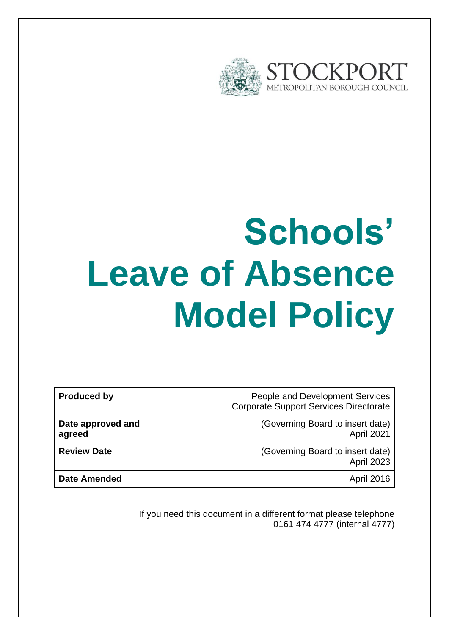

# **Schools' Leave of Absence Model Policy**

| <b>Produced by</b>          | People and Development Services<br><b>Corporate Support Services Directorate</b> |
|-----------------------------|----------------------------------------------------------------------------------|
| Date approved and<br>agreed | (Governing Board to insert date)<br>April 2021                                   |
| <b>Review Date</b>          | (Governing Board to insert date)<br>April 2023                                   |
| <b>Date Amended</b>         | <b>April 2016</b>                                                                |

If you need this document in a different format please telephone 0161 474 4777 (internal 4777)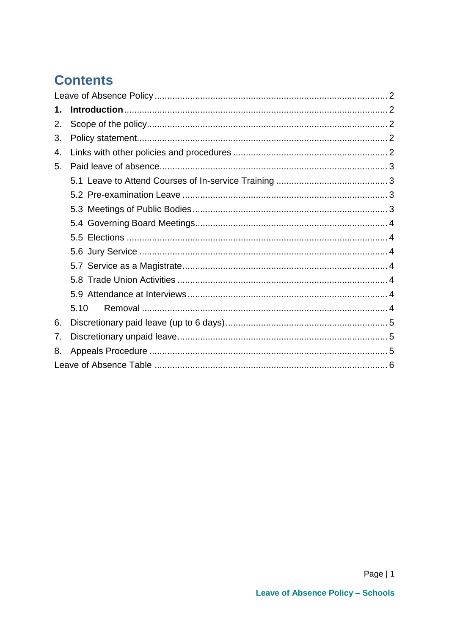# **Contents**

| 1. |      |  |
|----|------|--|
| 2. |      |  |
| 3. |      |  |
| 4. |      |  |
| 5. |      |  |
|    |      |  |
|    |      |  |
|    |      |  |
|    |      |  |
|    |      |  |
|    |      |  |
|    |      |  |
|    |      |  |
|    |      |  |
|    | 5.10 |  |
| 6. |      |  |
| 7. |      |  |
| 8. |      |  |
|    |      |  |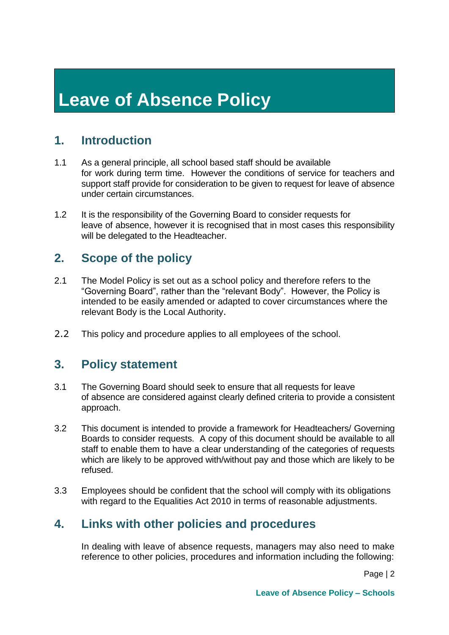# <span id="page-2-0"></span>**Leave of Absence Policy**

# <span id="page-2-1"></span>**1. Introduction**

- 1.1 As a general principle, all school based staff should be available for work during term time. However the conditions of service for teachers and support staff provide for consideration to be given to request for leave of absence under certain circumstances.
- 1.2 It is the responsibility of the Governing Board to consider requests for leave of absence, however it is recognised that in most cases this responsibility will be delegated to the Headteacher.

## <span id="page-2-2"></span>**2. Scope of the policy**

- 2.1 The Model Policy is set out as a school policy and therefore refers to the "Governing Board", rather than the "relevant Body". However, the Policy is intended to be easily amended or adapted to cover circumstances where the relevant Body is the Local Authority.
- <span id="page-2-3"></span>2.2 This policy and procedure applies to all employees of the school.

### **3. Policy statement**

- 3.1 The Governing Board should seek to ensure that all requests for leave of absence are considered against clearly defined criteria to provide a consistent approach.
- 3.2 This document is intended to provide a framework for Headteachers/ Governing Boards to consider requests. A copy of this document should be available to all staff to enable them to have a clear understanding of the categories of requests which are likely to be approved with/without pay and those which are likely to be refused.
- 3.3 Employees should be confident that the school will comply with its obligations with regard to the Equalities Act 2010 in terms of reasonable adjustments.

# <span id="page-2-4"></span>**4. Links with other policies and procedures**

In dealing with leave of absence requests, managers may also need to make reference to other policies, procedures and information including the following:

Page | 2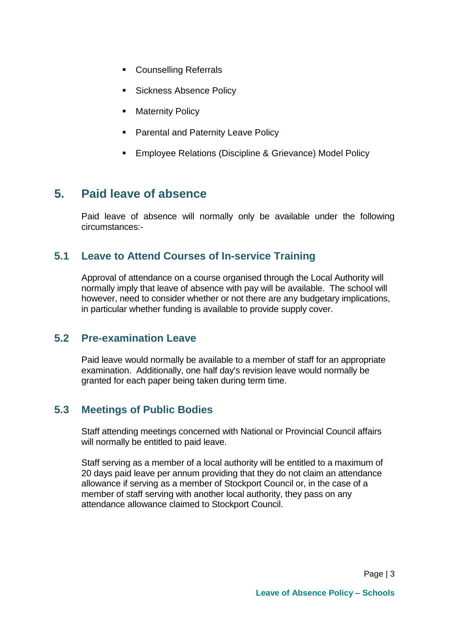- **Counselling Referrals**
- **Sickness Absence Policy**
- **Maternity Policy**
- **Parental and Paternity Leave Policy**
- **Employee Relations (Discipline & Grievance) Model Policy**

# <span id="page-3-0"></span>**5. Paid leave of absence**

Paid leave of absence will normally only be available under the following circumstances:-

#### <span id="page-3-1"></span>**5.1 Leave to Attend Courses of In-service Training**

Approval of attendance on a course organised through the Local Authority will normally imply that leave of absence with pay will be available. The school will however, need to consider whether or not there are any budgetary implications, in particular whether funding is available to provide supply cover.

#### <span id="page-3-2"></span>**5.2 Pre-examination Leave**

Paid leave would normally be available to a member of staff for an appropriate examination. Additionally, one half day's revision leave would normally be granted for each paper being taken during term time.

#### <span id="page-3-3"></span>**5.3 Meetings of Public Bodies**

Staff attending meetings concerned with National or Provincial Council affairs will normally be entitled to paid leave.

Staff serving as a member of a local authority will be entitled to a maximum of 20 days paid leave per annum providing that they do not claim an attendance allowance if serving as a member of Stockport Council or, in the case of a member of staff serving with another local authority, they pass on any attendance allowance claimed to Stockport Council.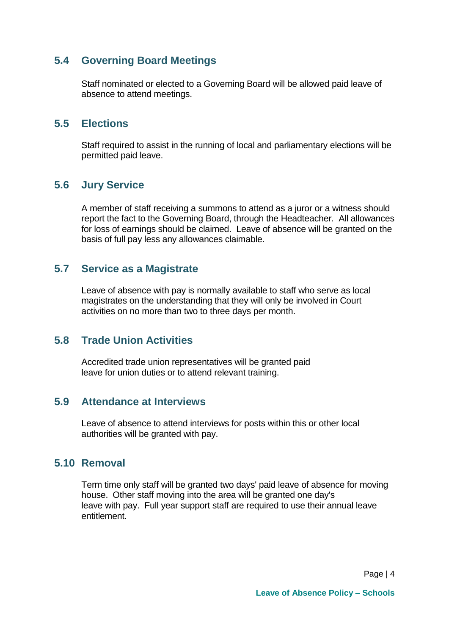#### <span id="page-4-0"></span>**5.4 Governing Board Meetings**

Staff nominated or elected to a Governing Board will be allowed paid leave of absence to attend meetings.

#### <span id="page-4-1"></span>**5.5 Elections**

Staff required to assist in the running of local and parliamentary elections will be permitted paid leave.

#### <span id="page-4-2"></span>**5.6 Jury Service**

A member of staff receiving a summons to attend as a juror or a witness should report the fact to the Governing Board, through the Headteacher. All allowances for loss of earnings should be claimed. Leave of absence will be granted on the basis of full pay less any allowances claimable.

#### <span id="page-4-3"></span>**5.7 Service as a Magistrate**

Leave of absence with pay is normally available to staff who serve as local magistrates on the understanding that they will only be involved in Court activities on no more than two to three days per month.

#### <span id="page-4-4"></span>**5.8 Trade Union Activities**

Accredited trade union representatives will be granted paid leave for union duties or to attend relevant training.

#### <span id="page-4-5"></span>**5.9 Attendance at Interviews**

Leave of absence to attend interviews for posts within this or other local authorities will be granted with pay.

#### <span id="page-4-6"></span>**5.10 Removal**

Term time only staff will be granted two days' paid leave of absence for moving house. Other staff moving into the area will be granted one day's leave with pay. Full year support staff are required to use their annual leave entitlement.

Page | 4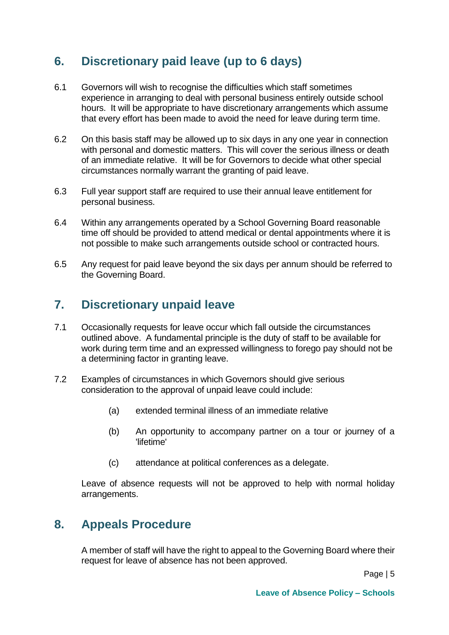# <span id="page-5-0"></span>**6. Discretionary paid leave (up to 6 days)**

- 6.1 Governors will wish to recognise the difficulties which staff sometimes experience in arranging to deal with personal business entirely outside school hours. It will be appropriate to have discretionary arrangements which assume that every effort has been made to avoid the need for leave during term time.
- 6.2 On this basis staff may be allowed up to six days in any one year in connection with personal and domestic matters. This will cover the serious illness or death of an immediate relative. It will be for Governors to decide what other special circumstances normally warrant the granting of paid leave.
- 6.3 Full year support staff are required to use their annual leave entitlement for personal business.
- 6.4 Within any arrangements operated by a School Governing Board reasonable time off should be provided to attend medical or dental appointments where it is not possible to make such arrangements outside school or contracted hours.
- 6.5 Any request for paid leave beyond the six days per annum should be referred to the Governing Board.

# <span id="page-5-1"></span>**7. Discretionary unpaid leave**

- 7.1 Occasionally requests for leave occur which fall outside the circumstances outlined above. A fundamental principle is the duty of staff to be available for work during term time and an expressed willingness to forego pay should not be a determining factor in granting leave.
- 7.2 Examples of circumstances in which Governors should give serious consideration to the approval of unpaid leave could include:
	- (a) extended terminal illness of an immediate relative
	- (b) An opportunity to accompany partner on a tour or journey of a 'lifetime'
	- (c) attendance at political conferences as a delegate.

Leave of absence requests will not be approved to help with normal holiday arrangements.

# <span id="page-5-2"></span>**8. Appeals Procedure**

A member of staff will have the right to appeal to the Governing Board where their request for leave of absence has not been approved.

Page | 5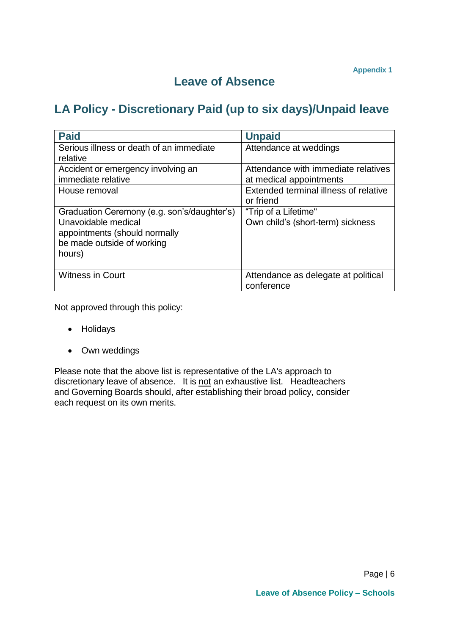## **Leave of Absence**

# **LA Policy - Discretionary Paid (up to six days)/Unpaid leave**

| <b>Paid</b>                                 | <b>Unpaid</b>                         |
|---------------------------------------------|---------------------------------------|
| Serious illness or death of an immediate    | Attendance at weddings                |
| relative                                    |                                       |
| Accident or emergency involving an          | Attendance with immediate relatives   |
| immediate relative                          | at medical appointments               |
| House removal                               | Extended terminal illness of relative |
|                                             | or friend                             |
| Graduation Ceremony (e.g. son's/daughter's) | "Trip of a Lifetime"                  |
| Unavoidable medical                         | Own child's (short-term) sickness     |
| appointments (should normally               |                                       |
| be made outside of working                  |                                       |
| hours)                                      |                                       |
|                                             |                                       |
| <b>Witness in Court</b>                     | Attendance as delegate at political   |
|                                             | conference                            |

Not approved through this policy:

- Holidays
- Own weddings

Please note that the above list is representative of the LA's approach to discretionary leave of absence. It is not an exhaustive list. Headteachers and Governing Boards should, after establishing their broad policy, consider each request on its own merits.